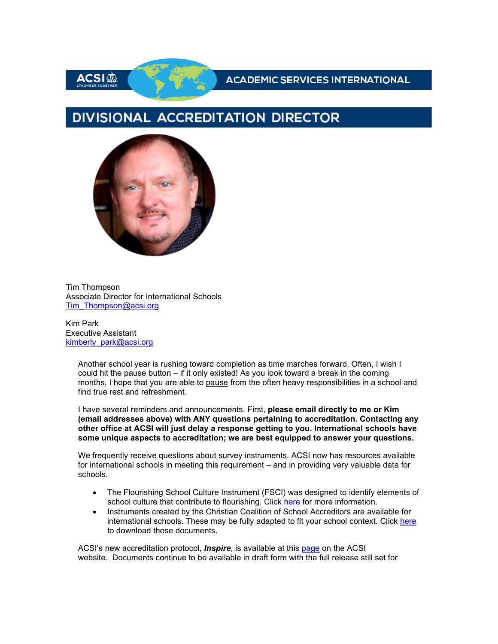ACSI恋

### **ACADEMIC SERVICES INTERNATIONAL**

# DIVISIONAL ACCREDITATION DIRECTOR



Tim Thompson Associate Director for International Schools [Tim\\_Thompson@acsi.org](mailto:Tim_Thompson@acsi.org)

Kim Park Executive Assistant [kimberly\\_park@acsi.org](mailto:kimberly_park@acsi.org)

> Another school year is rushing toward completion as time marches forward. Often, I wish I could hit the pause button – if it only existed! As you look toward a break in the coming months, I hope that you are able to pause from the often heavy responsibilities in a school and find true rest and refreshment.

> I have several reminders and announcements. First, **please email directly to me or Kim (email addresses above) with ANY questions pertaining to accreditation. Contacting any other office at ACSI will just delay a response getting to you. International schools have some unique aspects to accreditation; we are best equipped to answer your questions.**

We frequently receive questions about survey instruments. ACSI now has resources available for international schools in meeting this requirement – and in providing very valuable data for schools.

- The Flourishing School Culture Instrument (FSCI) was designed to identify elements of school culture that contribute to flourishing. Click [here](http://link.acsi.org/c/7/eyJhaSI6ODcyOTMzMTMsImUiOiJlYWxmcmV5QGljc2xpbWEub3JnIiwicmkiOiJjb250YWN0LTVhOGJlMDUwNDA2M2U4MTE4MGQwMDJiZmMwYTgwMTcyLTc1Y2VkNDM3NjVmODQ1NDA5OGY5ZjhhNmEwN2JkOTllIiwicnEiOiIwMi1iMjIxMjUtMDZjMmY3MDIzZmE0NGUxMzhmMDBhZjFiM2Q1ZmY3YTIiLCJwaCI6bnVsbCwibSI6ZmFsc2UsInVpIjoiNCIsInVuIjoiIiwidSI6Imh0dHBzOi8vd3d3LmFjc2kub3JnL2Zsb3VyaXNoaW5nLXNjaG9vbHMtY3VsdHVyZT9fY2xkZWU9U3JwclBUYXJnLWpPbXB3VWUyUThYMzJOY0FIdUUtaVBKZ0w4MkU0STVfaVNJRm1sLWJ0d1NhRnYwNnYySmxacCZyZWNpcGllbnRpZD1jb250YWN0LTVhOGJlMDUwNDA2M2U4MTE4MGQwMDJiZmMwYTgwMTcyLTc1Y2VkNDM3NjVmODQ1NDA5OGY5ZjhhNmEwN2JkOTllJmVzaWQ9N2RiNWY5YjEtYzViOS1lYzExLTgxMjAtMDAwZDNhMGRlMWExIn0/H0FKiFpvEn3bAguAkdAcyQ) for more information.
- Instruments created by the Christian Coalition of School Accreditors are available for international schools. These may be fully adapted to fit your school context. Click [here](http://link.acsi.org/c/7/eyJhaSI6ODcyOTMzMTMsImUiOiJlYWxmcmV5QGljc2xpbWEub3JnIiwicmkiOiJjb250YWN0LTVhOGJlMDUwNDA2M2U4MTE4MGQwMDJiZmMwYTgwMTcyLTc1Y2VkNDM3NjVmODQ1NDA5OGY5ZjhhNmEwN2JkOTllIiwicnEiOiIwMi1iMjIxMjUtMDZjMmY3MDIzZmE0NGUxMzhmMDBhZjFiM2Q1ZmY3YTIiLCJwaCI6bnVsbCwibSI6ZmFsc2UsInVpIjoiNSIsInVuIjoiIiwidSI6Imh0dHBzOi8vd3d3LmRyb3Bib3guY29tL3NoL2x1MzBpcjFoYXB2bGNwZy9BQUFZYWYtRVJYei1vVDhKTWVYVFFkcVphP2RsPTAmX2NsZGVlPVNycHJQVGFyZy1qT21wd1VlMlE4WDMyTmNBSHVFLWlQSmdMODJFNEk1X2lTSUZtbC1idHdTYUZ2MDZ2MkpsWnAmcmVjaXBpZW50aWQ9Y29udGFjdC01YThiZTA1MDQwNjNlODExODBkMDAyYmZjMGE4MDE3Mi03NWNlZDQzNzY1Zjg0NTQwOThmOWY4YTZhMDdiZDk5ZSZlc2lkPTdkYjVmOWIxLWM1YjktZWMxMS04MTIwLTAwMGQzYTBkZTFhMSJ9/YCL7uhzZ8KhwF3g06rBoOA) to download those documents.

ACSI's new accreditation protocol, *Inspire*, is available at this [page](http://link.acsi.org/c/7/eyJhaSI6ODcyOTMzMTMsImUiOiJlYWxmcmV5QGljc2xpbWEub3JnIiwicmkiOiJjb250YWN0LTVhOGJlMDUwNDA2M2U4MTE4MGQwMDJiZmMwYTgwMTcyLTc1Y2VkNDM3NjVmODQ1NDA5OGY5ZjhhNmEwN2JkOTllIiwicnEiOiIwMi1iMjIxMjUtMDZjMmY3MDIzZmE0NGUxMzhmMDBhZjFiM2Q1ZmY3YTIiLCJwaCI6bnVsbCwibSI6ZmFsc2UsInVpIjoiNiIsInVuIjoiIiwidSI6Imh0dHBzOi8vd3d3LmFjc2kub3JnL2FjY3JlZGl0YXRpb24tY2VydGlmaWNhdGlvbi9hY2NyZWRpdGF0aW9uLWZvci1zY2hvb2xzL290aGVyLXBhZ2VzL2luc3BpcmU_X2NsZGVlPVNycHJQVGFyZy1qT21wd1VlMlE4WDMyTmNBSHVFLWlQSmdMODJFNEk1X2lTSUZtbC1idHdTYUZ2MDZ2MkpsWnAmcmVjaXBpZW50aWQ9Y29udGFjdC01YThiZTA1MDQwNjNlODExODBkMDAyYmZjMGE4MDE3Mi03NWNlZDQzNzY1Zjg0NTQwOThmOWY4YTZhMDdiZDk5ZSZlc2lkPTdkYjVmOWIxLWM1YjktZWMxMS04MTIwLTAwMGQzYTBkZTFhMSJ9/_zysz_1hQ9IxSfhbfYD2lw) on the ACSI website. Documents continue to be available in draft form with the full release still set for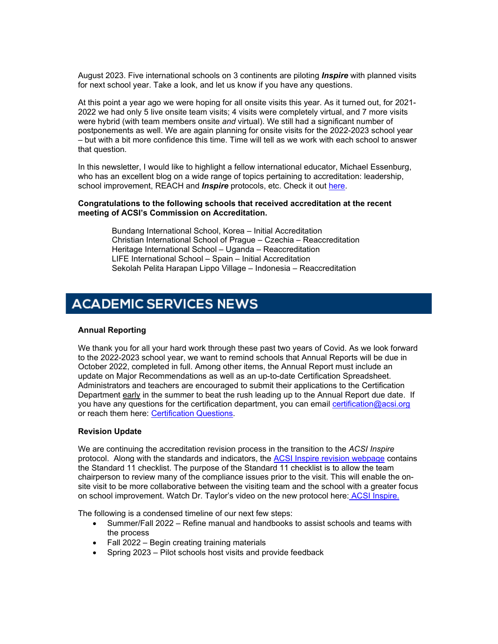August 2023. Five international schools on 3 continents are piloting *Inspire* with planned visits for next school year. Take a look, and let us know if you have any questions.

At this point a year ago we were hoping for all onsite visits this year. As it turned out, for 2021- 2022 we had only 5 live onsite team visits; 4 visits were completely virtual, and 7 more visits were hybrid (with team members onsite *and* virtual). We still had a significant number of postponements as well. We are again planning for onsite visits for the 2022-2023 school year – but with a bit more confidence this time. Time will tell as we work with each school to answer that question.

In this newsletter, I would like to highlight a fellow international educator, Michael Essenburg, who has an excellent blog on a wide range of topics pertaining to accreditation: leadership, school improvement, REACH and *Inspire* protocols, etc. Check it out [here.](http://link.acsi.org/c/7/eyJhaSI6ODcyOTMzMTMsImUiOiJlYWxmcmV5QGljc2xpbWEub3JnIiwicmkiOiJjb250YWN0LTVhOGJlMDUwNDA2M2U4MTE4MGQwMDJiZmMwYTgwMTcyLTc1Y2VkNDM3NjVmODQ1NDA5OGY5ZjhhNmEwN2JkOTllIiwicnEiOiIwMi1iMjIxMjUtMDZjMmY3MDIzZmE0NGUxMzhmMDBhZjFiM2Q1ZmY3YTIiLCJwaCI6bnVsbCwibSI6ZmFsc2UsInVpIjoiNyIsInVuIjoiIiwidSI6Imh0dHBzOi8vZXNzZW5idXJncy53b3JkcHJlc3MuY29tLz9fY2xkZWU9U3JwclBUYXJnLWpPbXB3VWUyUThYMzJOY0FIdUUtaVBKZ0w4MkU0STVfaVNJRm1sLWJ0d1NhRnYwNnYySmxacCZyZWNpcGllbnRpZD1jb250YWN0LTVhOGJlMDUwNDA2M2U4MTE4MGQwMDJiZmMwYTgwMTcyLTc1Y2VkNDM3NjVmODQ1NDA5OGY5ZjhhNmEwN2JkOTllJmVzaWQ9N2RiNWY5YjEtYzViOS1lYzExLTgxMjAtMDAwZDNhMGRlMWExIn0/GsP4gNKykOrHzi_vpvwpxw)

#### **Congratulations to the following schools that received accreditation at the recent meeting of ACSI's Commission on Accreditation.**

 Bundang International School, Korea – Initial Accreditation Christian International School of Prague – Czechia – Reaccreditation Heritage International School – Uganda – Reaccreditation LIFE International School – Spain – Initial Accreditation Sekolah Pelita Harapan Lippo Village – Indonesia – Reaccreditation

## **ACADEMIC SERVICES NEWS**

#### **Annual Reporting**

We thank you for all your hard work through these past two years of Covid. As we look forward to the 2022-2023 school year, we want to remind schools that Annual Reports will be due in October 2022, completed in full. Among other items, the Annual Report must include an update on Major Recommendations as well as an up-to-date Certification Spreadsheet. Administrators and teachers are encouraged to submit their applications to the Certification Department early in the summer to beat the rush leading up to the Annual Report due date. If you have any questions for the certification department, you can email [certification@acsi.org](mailto:certification@acsi.org) or reach them here: [Certification Questions.](http://link.acsi.org/c/7/eyJhaSI6ODcyOTMzMTMsImUiOiJlYWxmcmV5QGljc2xpbWEub3JnIiwicmkiOiJjb250YWN0LTVhOGJlMDUwNDA2M2U4MTE4MGQwMDJiZmMwYTgwMTcyLTc1Y2VkNDM3NjVmODQ1NDA5OGY5ZjhhNmEwN2JkOTllIiwicnEiOiIwMi1iMjIxMjUtMDZjMmY3MDIzZmE0NGUxMzhmMDBhZjFiM2Q1ZmY3YTIiLCJwaCI6bnVsbCwibSI6ZmFsc2UsInVpIjoiOCIsInVuIjoiIiwidSI6Imh0dHBzOi8vd3d3LmFjc2kub3JnL2FjY3JlZGl0YXRpb24tY2VydGlmaWNhdGlvbi9jZXJ0aWZpY2F0aW9uLWZvci10ZWFjaGVycy9jZXJ0aWZpY2F0aW9uLXF1ZXN0aW9ucz9fY2xkZWU9U3JwclBUYXJnLWpPbXB3VWUyUThYMzJOY0FIdUUtaVBKZ0w4MkU0STVfaVNJRm1sLWJ0d1NhRnYwNnYySmxacCZyZWNpcGllbnRpZD1jb250YWN0LTVhOGJlMDUwNDA2M2U4MTE4MGQwMDJiZmMwYTgwMTcyLTc1Y2VkNDM3NjVmODQ1NDA5OGY5ZjhhNmEwN2JkOTllJmVzaWQ9N2RiNWY5YjEtYzViOS1lYzExLTgxMjAtMDAwZDNhMGRlMWExIn0/o7zVbFZGhJBx8fV5ZSSL8g)

#### **Revision Update**

We are continuing the accreditation revision process in the transition to the *ACSI Inspire* protocol. Along with the standards and indicators, the [ACSI Inspire revision webpage](http://link.acsi.org/c/7/eyJhaSI6ODcyOTMzMTMsImUiOiJlYWxmcmV5QGljc2xpbWEub3JnIiwicmkiOiJjb250YWN0LTVhOGJlMDUwNDA2M2U4MTE4MGQwMDJiZmMwYTgwMTcyLTc1Y2VkNDM3NjVmODQ1NDA5OGY5ZjhhNmEwN2JkOTllIiwicnEiOiIwMi1iMjIxMjUtMDZjMmY3MDIzZmE0NGUxMzhmMDBhZjFiM2Q1ZmY3YTIiLCJwaCI6bnVsbCwibSI6ZmFsc2UsInVpIjoiOSIsInVuIjoiIiwidSI6Imh0dHBzOi8vd3d3LmFjc2kub3JnL2FjY3JlZGl0YXRpb25faW5zcGlyZT9fY2xkZWU9U3JwclBUYXJnLWpPbXB3VWUyUThYMzJOY0FIdUUtaVBKZ0w4MkU0STVfaVNJRm1sLWJ0d1NhRnYwNnYySmxacCZyZWNpcGllbnRpZD1jb250YWN0LTVhOGJlMDUwNDA2M2U4MTE4MGQwMDJiZmMwYTgwMTcyLTc1Y2VkNDM3NjVmODQ1NDA5OGY5ZjhhNmEwN2JkOTllJmVzaWQ9N2RiNWY5YjEtYzViOS1lYzExLTgxMjAtMDAwZDNhMGRlMWExIn0/uUKhz0NVu-e4QkAv9OhHGQ) contains the Standard 11 checklist. The purpose of the Standard 11 checklist is to allow the team chairperson to review many of the compliance issues prior to the visit. This will enable the onsite visit to be more collaborative between the visiting team and the school with a greater focus on school improvement. Watch Dr. Taylor's video on the new protocol here: [ACSI Inspire](http://link.acsi.org/c/7/eyJhaSI6ODcyOTMzMTMsImUiOiJlYWxmcmV5QGljc2xpbWEub3JnIiwicmkiOiJjb250YWN0LTVhOGJlMDUwNDA2M2U4MTE4MGQwMDJiZmMwYTgwMTcyLTc1Y2VkNDM3NjVmODQ1NDA5OGY5ZjhhNmEwN2JkOTllIiwicnEiOiIwMi1iMjIxMjUtMDZjMmY3MDIzZmE0NGUxMzhmMDBhZjFiM2Q1ZmY3YTIiLCJwaCI6bnVsbCwibSI6ZmFsc2UsInVpIjoiMTAiLCJ1biI6IiIsInUiOiJodHRwczovL3ZpbWVvLmNvbS83MDA4NzkxMDc_X2NsZGVlPVNycHJQVGFyZy1qT21wd1VlMlE4WDMyTmNBSHVFLWlQSmdMODJFNEk1X2lTSUZtbC1idHdTYUZ2MDZ2MkpsWnAmcmVjaXBpZW50aWQ9Y29udGFjdC01YThiZTA1MDQwNjNlODExODBkMDAyYmZjMGE4MDE3Mi03NWNlZDQzNzY1Zjg0NTQwOThmOWY4YTZhMDdiZDk5ZSZlc2lkPTdkYjVmOWIxLWM1YjktZWMxMS04MTIwLTAwMGQzYTBkZTFhMSJ9/onTyEo7QsDNfGtZELzISxw)[.](http://link.acsi.org/c/7/eyJhaSI6ODcyOTMzMTMsImUiOiJlYWxmcmV5QGljc2xpbWEub3JnIiwicmkiOiJjb250YWN0LTVhOGJlMDUwNDA2M2U4MTE4MGQwMDJiZmMwYTgwMTcyLTc1Y2VkNDM3NjVmODQ1NDA5OGY5ZjhhNmEwN2JkOTllIiwicnEiOiIwMi1iMjIxMjUtMDZjMmY3MDIzZmE0NGUxMzhmMDBhZjFiM2Q1ZmY3YTIiLCJwaCI6bnVsbCwibSI6ZmFsc2UsInVpIjoiMTEiLCJ1biI6IiIsInUiOiJodHRwczovL3ZpbWVvLmNvbS83MDA4NzkxMDc_X2NsZGVlPVNycHJQVGFyZy1qT21wd1VlMlE4WDMyTmNBSHVFLWlQSmdMODJFNEk1X2lTSUZtbC1idHdTYUZ2MDZ2MkpsWnAmcmVjaXBpZW50aWQ9Y29udGFjdC01YThiZTA1MDQwNjNlODExODBkMDAyYmZjMGE4MDE3Mi03NWNlZDQzNzY1Zjg0NTQwOThmOWY4YTZhMDdiZDk5ZSZlc2lkPTdkYjVmOWIxLWM1YjktZWMxMS04MTIwLTAwMGQzYTBkZTFhMSJ9/YxQXnHkDddOgkgliCY0BAQ)

The following is a condensed timeline of our next few steps:

- Summer/Fall 2022 Refine manual and handbooks to assist schools and teams with the process
- Fall 2022 Begin creating training materials
- Spring 2023 Pilot schools host visits and provide feedback